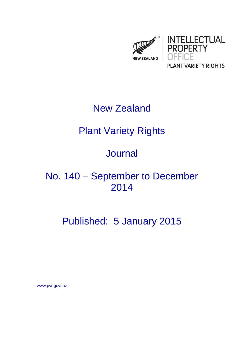

## New Zealand

# Plant Variety Rights

## Journal

## No. 140 – September to December 2014

# Published: 5 January 2015

www.pvr.govt.nz